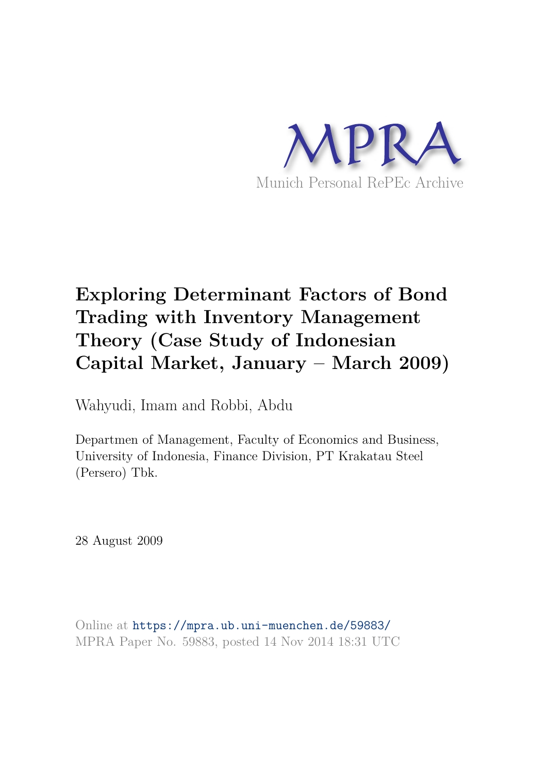

# **Exploring Determinant Factors of Bond Trading with Inventory Management Theory (Case Study of Indonesian Capital Market, January – March 2009)**

Wahyudi, Imam and Robbi, Abdu

Departmen of Management, Faculty of Economics and Business, University of Indonesia, Finance Division, PT Krakatau Steel (Persero) Tbk.

28 August 2009

Online at https://mpra.ub.uni-muenchen.de/59883/ MPRA Paper No. 59883, posted 14 Nov 2014 18:31 UTC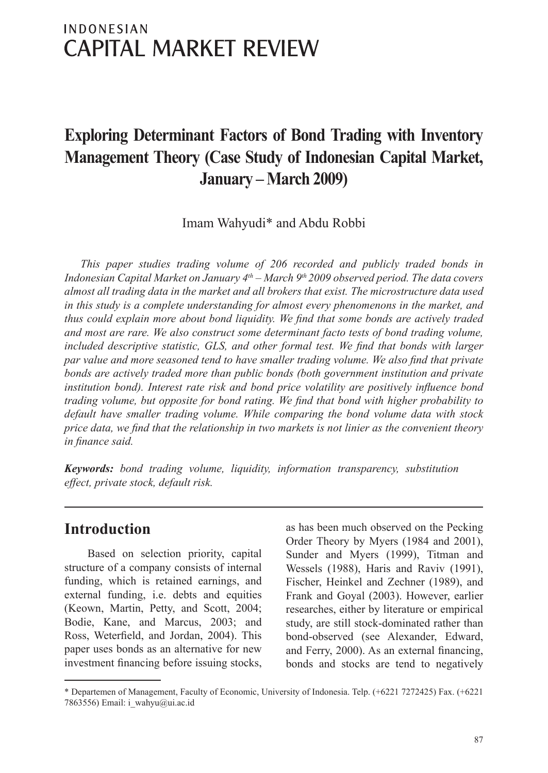# **INDONESIAN CAPITAL MARKET REVIEW**

# **Exploring Determinant Factors of Bond Trading with Inventory Management Theory (Case Study of Indonesian Capital Market, January – March 2009)**

Imam Wahyudi\* and Abdu Robbi

*This paper studies trading volume of 206 recorded and publicly traded bonds in Indonesian Capital Market on January 4th – March 9th 2009 observed period. The data covers almost all trading data in the market and all brokers that exist. The microstructure data used in this study is a complete understanding for almost every phenomenons in the market, and thus could explain more about bond liquidity. We find that some bonds are actively traded and most are rare. We also construct some determinant facto tests of bond trading volume, included descriptive statistic, GLS, and other formal test. We find that bonds with larger* par value and more seasoned tend to have smaller trading volume. We also find that private *bonds are actively traded more than public bonds (both government institution and private institution bond). Interest rate risk and bond price volatility are positively influence bond trading volume, but opposite for bond rating. We find that bond with higher probability to default have smaller trading volume. While comparing the bond volume data with stock price data, we find that the relationship in two markets is not linier as the convenient theory in finance said.*

*Keywords: bond trading volume, liquidity, information transparency, substitution effect, private stock, default risk.*

#### **Introduction**

Based on selection priority, capital structure of a company consists of internal funding, which is retained earnings, and external funding, i.e. debts and equities (Keown, Martin, Petty, and Scott, 2004; Bodie, Kane, and Marcus, 2003; and Ross, Weterfield, and Jordan, 2004). This paper uses bonds as an alternative for new investment financing before issuing stocks,

as has been much observed on the Pecking Order Theory by Myers (1984 and 2001), Sunder and Myers (1999), Titman and Wessels (1988), Haris and Raviv (1991), Fischer, Heinkel and Zechner (1989), and Frank and Goyal (2003). However, earlier researches, either by literature or empirical study, are still stock-dominated rather than bond-observed (see Alexander, Edward, and Ferry, 2000). As an external financing, bonds and stocks are tend to negatively

<sup>\*</sup> Departemen of Management, Faculty of Economic, University of Indonesia. Telp. (+6221 7272425) Fax. (+6221 7863556) Email: i\_wahyu@ui.ac.id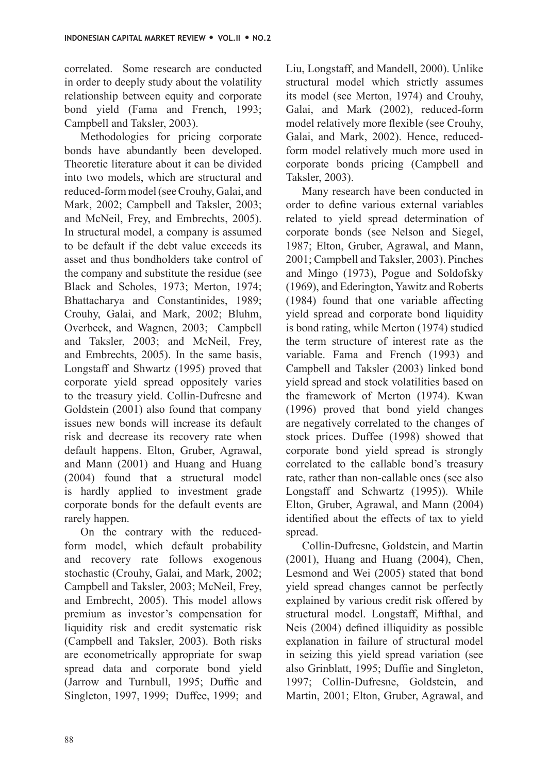correlated. Some research are conducted in order to deeply study about the volatility relationship between equity and corporate bond yield (Fama and French, 1993; Campbell and Taksler, 2003).

Methodologies for pricing corporate bonds have abundantly been developed. Theoretic literature about it can be divided into two models, which are structural and reduced-form model (see Crouhy, Galai, and Mark, 2002; Campbell and Taksler, 2003; and McNeil, Frey, and Embrechts, 2005). In structural model, a company is assumed to be default if the debt value exceeds its asset and thus bondholders take control of the company and substitute the residue (see Black and Scholes, 1973; Merton, 1974; Bhattacharya and Constantinides, 1989; Crouhy, Galai, and Mark, 2002; Bluhm, Overbeck, and Wagnen, 2003; Campbell and Taksler, 2003; and McNeil, Frey, and Embrechts, 2005). In the same basis, Longstaff and Shwartz (1995) proved that corporate yield spread oppositely varies to the treasury yield. Collin-Dufresne and Goldstein (2001) also found that company issues new bonds will increase its default risk and decrease its recovery rate when default happens. Elton, Gruber, Agrawal, and Mann (2001) and Huang and Huang (2004) found that a structural model is hardly applied to investment grade corporate bonds for the default events are rarely happen.

On the contrary with the reducedform model, which default probability and recovery rate follows exogenous stochastic (Crouhy, Galai, and Mark, 2002; Campbell and Taksler, 2003; McNeil, Frey, and Embrecht, 2005). This model allows premium as investor's compensation for liquidity risk and credit systematic risk (Campbell and Taksler, 2003). Both risks are econometrically appropriate for swap spread data and corporate bond yield (Jarrow and Turnbull, 1995; Duffie and Singleton, 1997, 1999; Duffee, 1999; and Liu, Longstaff, and Mandell, 2000). Unlike structural model which strictly assumes its model (see Merton, 1974) and Crouhy, Galai, and Mark (2002), reduced-form model relatively more flexible (see Crouhy, Galai, and Mark, 2002). Hence, reducedform model relatively much more used in corporate bonds pricing (Campbell and Taksler, 2003).

Many research have been conducted in order to define various external variables related to yield spread determination of corporate bonds (see Nelson and Siegel, 1987; Elton, Gruber, Agrawal, and Mann, 2001; Campbell and Taksler, 2003). Pinches and Mingo (1973), Pogue and Soldofsky (1969), and Ederington, Yawitz and Roberts (1984) found that one variable affecting yield spread and corporate bond liquidity is bond rating, while Merton (1974) studied the term structure of interest rate as the variable. Fama and French (1993) and Campbell and Taksler (2003) linked bond yield spread and stock volatilities based on the framework of Merton (1974). Kwan (1996) proved that bond yield changes are negatively correlated to the changes of stock prices. Duffee (1998) showed that corporate bond yield spread is strongly correlated to the callable bond's treasury rate, rather than non-callable ones (see also Longstaff and Schwartz (1995)). While Elton, Gruber, Agrawal, and Mann (2004) identified about the effects of tax to yield spread.

Collin-Dufresne, Goldstein, and Martin (2001), Huang and Huang (2004), Chen, Lesmond and Wei (2005) stated that bond yield spread changes cannot be perfectly explained by various credit risk offered by structural model. Longstaff, Mifthal, and Neis (2004) defined illiquidity as possible explanation in failure of structural model in seizing this yield spread variation (see also Grinblatt, 1995; Duffie and Singleton, 1997; Collin-Dufresne, Goldstein, and Martin, 2001; Elton, Gruber, Agrawal, and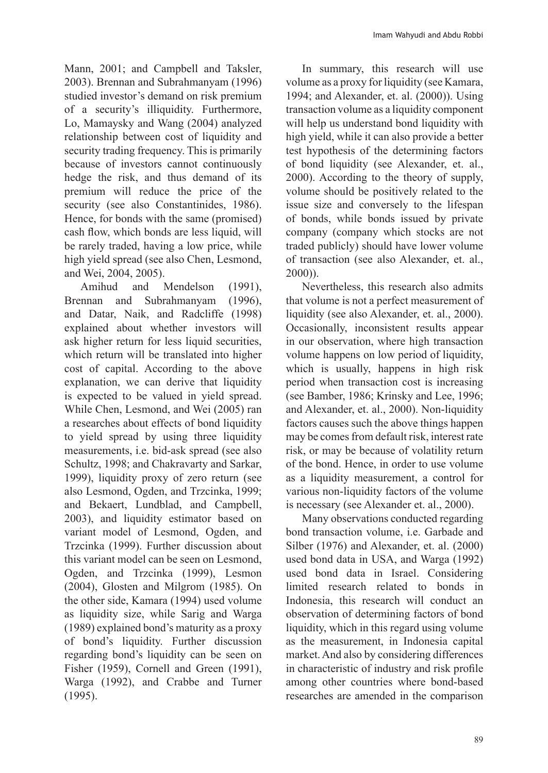Mann, 2001; and Campbell and Taksler, 2003). Brennan and Subrahmanyam (1996) studied investor's demand on risk premium of a security's illiquidity. Furthermore, Lo, Mamaysky and Wang (2004) analyzed relationship between cost of liquidity and security trading frequency. This is primarily because of investors cannot continuously hedge the risk, and thus demand of its premium will reduce the price of the security (see also Constantinides, 1986). Hence, for bonds with the same (promised) cash flow, which bonds are less liquid, will be rarely traded, having a low price, while high yield spread (see also Chen, Lesmond, and Wei, 2004, 2005).

Amihud and Mendelson (1991), Brennan and Subrahmanyam (1996), and Datar, Naik, and Radcliffe (1998) explained about whether investors will ask higher return for less liquid securities, which return will be translated into higher cost of capital. According to the above explanation, we can derive that liquidity is expected to be valued in yield spread. While Chen, Lesmond, and Wei (2005) ran a researches about effects of bond liquidity to yield spread by using three liquidity measurements, i.e. bid-ask spread (see also Schultz, 1998; and Chakravarty and Sarkar, 1999), liquidity proxy of zero return (see also Lesmond, Ogden, and Trzcinka, 1999; and Bekaert, Lundblad, and Campbell, 2003), and liquidity estimator based on variant model of Lesmond, Ogden, and Trzcinka (1999). Further discussion about this variant model can be seen on Lesmond, Ogden, and Trzcinka (1999), Lesmon (2004), Glosten and Milgrom (1985). On the other side, Kamara (1994) used volume as liquidity size, while Sarig and Warga (1989) explained bond's maturity as a proxy of bond's liquidity. Further discussion regarding bond's liquidity can be seen on Fisher (1959), Cornell and Green (1991), Warga (1992), and Crabbe and Turner (1995).

In summary, this research will use volume as a proxy for liquidity (see Kamara, 1994; and Alexander, et. al. (2000)). Using transaction volume as a liquidity component will help us understand bond liquidity with high yield, while it can also provide a better test hypothesis of the determining factors of bond liquidity (see Alexander, et. al., 2000). According to the theory of supply, volume should be positively related to the issue size and conversely to the lifespan of bonds, while bonds issued by private company (company which stocks are not traded publicly) should have lower volume of transaction (see also Alexander, et. al., 2000)).

Nevertheless, this research also admits that volume is not a perfect measurement of liquidity (see also Alexander, et. al., 2000). Occasionally, inconsistent results appear in our observation, where high transaction volume happens on low period of liquidity, which is usually, happens in high risk period when transaction cost is increasing (see Bamber, 1986; Krinsky and Lee, 1996; and Alexander, et. al., 2000). Non-liquidity factors causes such the above things happen may be comes from default risk, interest rate risk, or may be because of volatility return of the bond. Hence, in order to use volume as a liquidity measurement, a control for various non-liquidity factors of the volume is necessary (see Alexander et. al., 2000).

Many observations conducted regarding bond transaction volume, i.e. Garbade and Silber (1976) and Alexander, et. al. (2000) used bond data in USA, and Warga (1992) used bond data in Israel. Considering limited research related to bonds in Indonesia, this research will conduct an observation of determining factors of bond liquidity, which in this regard using volume as the measurement, in Indonesia capital market. And also by considering differences in characteristic of industry and risk profile among other countries where bond-based researches are amended in the comparison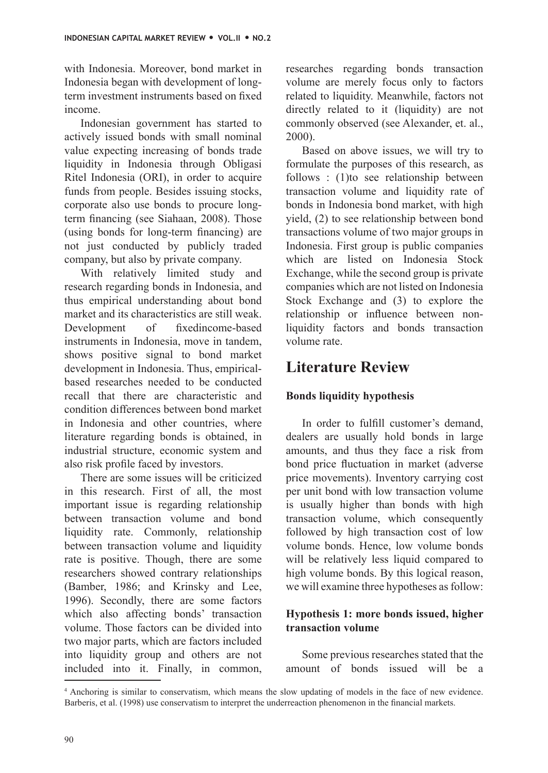with Indonesia. Moreover, bond market in Indonesia began with development of longterm investment instruments based on fixed income.

Indonesian government has started to actively issued bonds with small nominal value expecting increasing of bonds trade liquidity in Indonesia through Obligasi Ritel Indonesia (ORI), in order to acquire funds from people. Besides issuing stocks, corporate also use bonds to procure longterm financing (see Siahaan, 2008). Those (using bonds for long-term financing) are not just conducted by publicly traded company, but also by private company.

With relatively limited study and research regarding bonds in Indonesia, and thus empirical understanding about bond market and its characteristics are still weak. Development of fixed income-based instruments in Indonesia, move in tandem, shows positive signal to bond market development in Indonesia. Thus, empiricalbased researches needed to be conducted recall that there are characteristic and condition differences between bond market in Indonesia and other countries, where literature regarding bonds is obtained, in industrial structure, economic system and also risk profile faced by investors.

There are some issues will be criticized in this research. First of all, the most important issue is regarding relationship between transaction volume and bond liquidity rate. Commonly, relationship between transaction volume and liquidity rate is positive. Though, there are some researchers showed contrary relationships (Bamber, 1986; and Krinsky and Lee, 1996). Secondly, there are some factors which also affecting bonds' transaction volume. Those factors can be divided into two major parts, which are factors included into liquidity group and others are not included into it. Finally, in common, researches regarding bonds transaction volume are merely focus only to factors related to liquidity. Meanwhile, factors not directly related to it (liquidity) are not commonly observed (see Alexander, et. al., 2000).

Based on above issues, we will try to formulate the purposes of this research, as follows : (1)to see relationship between transaction volume and liquidity rate of bonds in Indonesia bond market, with high yield, (2) to see relationship between bond transactions volume of two major groups in Indonesia. First group is public companies which are listed on Indonesia Stock Exchange, while the second group is private companies which are not listed on Indonesia Stock Exchange and (3) to explore the relationship or influence between nonliquidity factors and bonds transaction volume rate.

### **Literature Review**

#### **Bonds liquidity hypothesis**

In order to fulfill customer's demand, dealers are usually hold bonds in large amounts, and thus they face a risk from bond price fluctuation in market (adverse price movements). Inventory carrying cost per unit bond with low transaction volume is usually higher than bonds with high transaction volume, which consequently followed by high transaction cost of low volume bonds. Hence, low volume bonds will be relatively less liquid compared to high volume bonds. By this logical reason, we will examine three hypotheses as follow:

#### **Hypothesis 1: more bonds issued, higher transaction volume**

Some previous researches stated that the amount of bonds issued will be a

<sup>4</sup> Anchoring is similar to conservatism, which means the slow updating of models in the face of new evidence. Barberis, et al. (1998) use conservatism to interpret the underreaction phenomenon in the financial markets.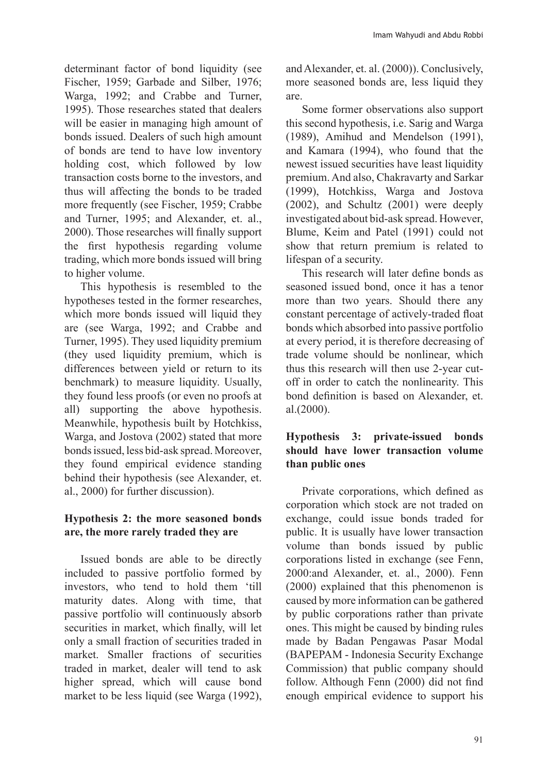determinant factor of bond liquidity (see Fischer, 1959; Garbade and Silber, 1976; Warga, 1992; and Crabbe and Turner, 1995). Those researches stated that dealers will be easier in managing high amount of bonds issued. Dealers of such high amount of bonds are tend to have low inventory holding cost, which followed by low transaction costs borne to the investors, and thus will affecting the bonds to be traded more frequently (see Fischer, 1959; Crabbe and Turner, 1995; and Alexander, et. al., 2000). Those researches will finally support the first hypothesis regarding volume trading, which more bonds issued will bring to higher volume.

This hypothesis is resembled to the hypotheses tested in the former researches, which more bonds issued will liquid they are (see Warga, 1992; and Crabbe and Turner, 1995). They used liquidity premium (they used liquidity premium, which is differences between yield or return to its benchmark) to measure liquidity. Usually, they found less proofs (or even no proofs at all) supporting the above hypothesis. Meanwhile, hypothesis built by Hotchkiss, Warga, and Jostova (2002) stated that more bonds issued, less bid-ask spread. Moreover, they found empirical evidence standing behind their hypothesis (see Alexander, et. al., 2000) for further discussion).

#### **Hypothesis 2: the more seasoned bonds are, the more rarely traded they are**

Issued bonds are able to be directly included to passive portfolio formed by investors, who tend to hold them 'till maturity dates. Along with time, that passive portfolio will continuously absorb securities in market, which finally, will let only a small fraction of securities traded in market. Smaller fractions of securities traded in market, dealer will tend to ask higher spread, which will cause bond market to be less liquid (see Warga (1992), and Alexander, et. al. (2000)). Conclusively, more seasoned bonds are, less liquid they are.

Some former observations also support this second hypothesis, i.e. Sarig and Warga (1989), Amihud and Mendelson (1991), and Kamara (1994), who found that the newest issued securities have least liquidity premium. And also, Chakravarty and Sarkar (1999), Hotchkiss, Warga and Jostova (2002), and Schultz (2001) were deeply investigated about bid-ask spread. However, Blume, Keim and Patel (1991) could not show that return premium is related to lifespan of a security.

This research will later define bonds as seasoned issued bond, once it has a tenor more than two years. Should there any constant percentage of actively-traded float bonds which absorbed into passive portfolio at every period, it is therefore decreasing of trade volume should be nonlinear, which thus this research will then use 2-year cutoff in order to catch the nonlinearity. This bond definition is based on Alexander, et. al.(2000).

#### **Hypothesis 3: private-issued bonds should have lower transaction volume than public ones**

Private corporations, which defined as corporation which stock are not traded on exchange, could issue bonds traded for public. It is usually have lower transaction volume than bonds issued by public corporations listed in exchange (see Fenn, 2000:and Alexander, et. al., 2000). Fenn (2000) explained that this phenomenon is caused by more information can be gathered by public corporations rather than private ones. This might be caused by binding rules made by Badan Pengawas Pasar Modal (BAPEPAM - Indonesia Security Exchange Commission) that public company should follow. Although Fenn (2000) did not find enough empirical evidence to support his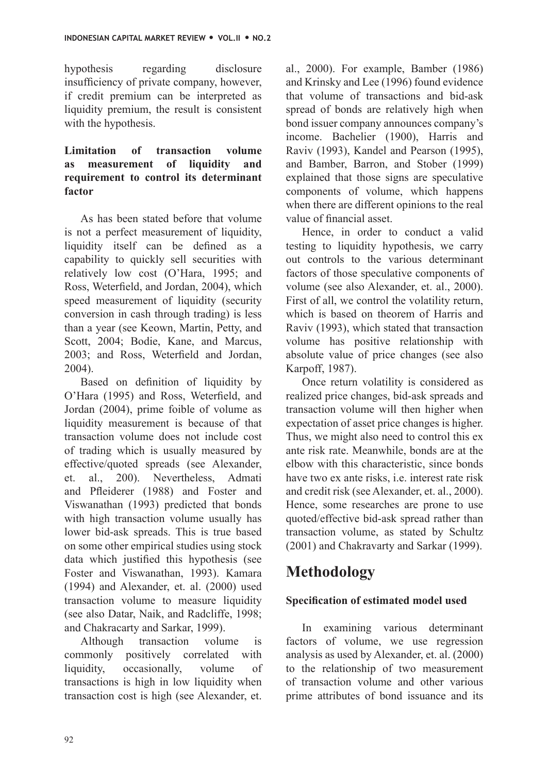hypothesis regarding disclosure insufficiency of private company, however, if credit premium can be interpreted as liquidity premium, the result is consistent with the hypothesis.

#### **Limitation of transaction volume as measurement of liquidity and requirement to control its determinant factor**

As has been stated before that volume is not a perfect measurement of liquidity, liquidity itself can be defined as a capability to quickly sell securities with relatively low cost (O'Hara, 1995; and Ross, Weterfield, and Jordan, 2004), which speed measurement of liquidity (security conversion in cash through trading) is less than a year (see Keown, Martin, Petty, and Scott, 2004; Bodie, Kane, and Marcus, 2003; and Ross, Weterfield and Jordan, 2004).

Based on definition of liquidity by O'Hara (1995) and Ross, Weterfield, and Jordan (2004), prime foible of volume as liquidity measurement is because of that transaction volume does not include cost of trading which is usually measured by effective/quoted spreads (see Alexander, et. al., 200). Nevertheless, Admati and Pfleiderer (1988) and Foster and Viswanathan (1993) predicted that bonds with high transaction volume usually has lower bid-ask spreads. This is true based on some other empirical studies using stock data which justified this hypothesis (see Foster and Viswanathan, 1993). Kamara (1994) and Alexander, et. al. (2000) used transaction volume to measure liquidity (see also Datar, Naik, and Radcliffe, 1998; and Chakracarty and Sarkar, 1999).

Although transaction volume is commonly positively correlated with liquidity, occasionally, volume of transactions is high in low liquidity when transaction cost is high (see Alexander, et. al., 2000). For example, Bamber (1986) and Krinsky and Lee (1996) found evidence that volume of transactions and bid-ask spread of bonds are relatively high when bond issuer company announces company's income. Bachelier (1900), Harris and Raviv (1993), Kandel and Pearson (1995), and Bamber, Barron, and Stober (1999) explained that those signs are speculative components of volume, which happens when there are different opinions to the real value of financial asset.

Hence, in order to conduct a valid testing to liquidity hypothesis, we carry out controls to the various determinant factors of those speculative components of volume (see also Alexander, et. al., 2000). First of all, we control the volatility return. which is based on theorem of Harris and Raviv (1993), which stated that transaction volume has positive relationship with absolute value of price changes (see also Karpoff, 1987).

Once return volatility is considered as realized price changes, bid-ask spreads and transaction volume will then higher when expectation of asset price changes is higher. Thus, we might also need to control this ex ante risk rate. Meanwhile, bonds are at the elbow with this characteristic, since bonds have two ex ante risks, i.e. interest rate risk and credit risk (see Alexander, et. al., 2000). Hence, some researches are prone to use quoted/effective bid-ask spread rather than transaction volume, as stated by Schultz (2001) and Chakravarty and Sarkar (1999).

## **Methodology**

#### **Specification of estimated model used**

In examining various determinant factors of volume, we use regression analysis as used by Alexander, et. al. (2000) to the relationship of two measurement of transaction volume and other various prime attributes of bond issuance and its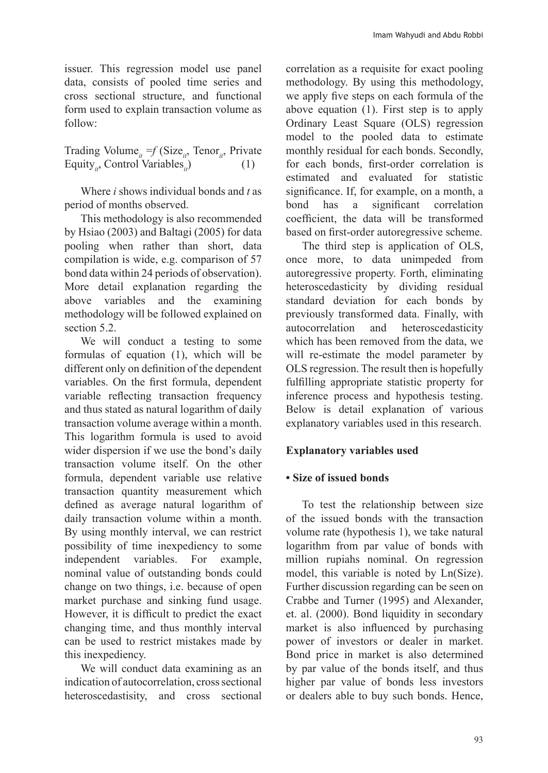issuer. This regression model use panel data, consists of pooled time series and cross sectional structure, and functional form used to explain transaction volume as follow:

Trading Volume<sub>it</sub> = *f* (Size<sub>it</sub>, Tenor<sub>it</sub>, Private Equity, Control Variables.) (1) Equity<sub>is</sub>, Control Variables<sub>is</sub>)

Where *i* shows individual bonds and *t* as period of months observed.

This methodology is also recommended by Hsiao (2003) and Baltagi (2005) for data pooling when rather than short, data compilation is wide, e.g. comparison of 57 bond data within 24 periods of observation). More detail explanation regarding the above variables and the examining methodology will be followed explained on section 5.2.

We will conduct a testing to some formulas of equation (1), which will be different only on definition of the dependent variables. On the first formula, dependent variable reflecting transaction frequency and thus stated as natural logarithm of daily transaction volume average within a month. This logarithm formula is used to avoid wider dispersion if we use the bond's daily transaction volume itself. On the other formula, dependent variable use relative transaction quantity measurement which defined as average natural logarithm of daily transaction volume within a month. By using monthly interval, we can restrict possibility of time inexpediency to some independent variables. For example, nominal value of outstanding bonds could change on two things, i.e. because of open market purchase and sinking fund usage. However, it is difficult to predict the exact changing time, and thus monthly interval can be used to restrict mistakes made by this inexpediency.

We will conduct data examining as an indication of autocorrelation, cross sectional heteroscedastisity, and cross sectional

correlation as a requisite for exact pooling methodology. By using this methodology, we apply five steps on each formula of the above equation (1). First step is to apply Ordinary Least Square (OLS) regression model to the pooled data to estimate monthly residual for each bonds. Secondly, for each bonds, first-order correlation is estimated and evaluated for statistic significance. If, for example, on a month, a<br>bond has a significant correlation significant correlation coefficient, the data will be transformed based on first-order autoregressive scheme.

The third step is application of OLS, once more, to data unimpeded from autoregressive property. Forth, eliminating heteroscedasticity by dividing residual standard deviation for each bonds by previously transformed data. Finally, with autocorrelation and heteroscedasticity which has been removed from the data, we will re-estimate the model parameter by OLS regression. The result then is hopefully fulfilling appropriate statistic property for inference process and hypothesis testing. Below is detail explanation of various explanatory variables used in this research.

#### **Explanatory variables used**

#### **• Size of issued bonds**

To test the relationship between size of the issued bonds with the transaction volume rate (hypothesis 1), we take natural logarithm from par value of bonds with million rupiahs nominal. On regression model, this variable is noted by Ln(Size). Further discussion regarding can be seen on Crabbe and Turner (1995) and Alexander, et. al. (2000). Bond liquidity in secondary market is also influenced by purchasing power of investors or dealer in market. Bond price in market is also determined by par value of the bonds itself, and thus higher par value of bonds less investors or dealers able to buy such bonds. Hence,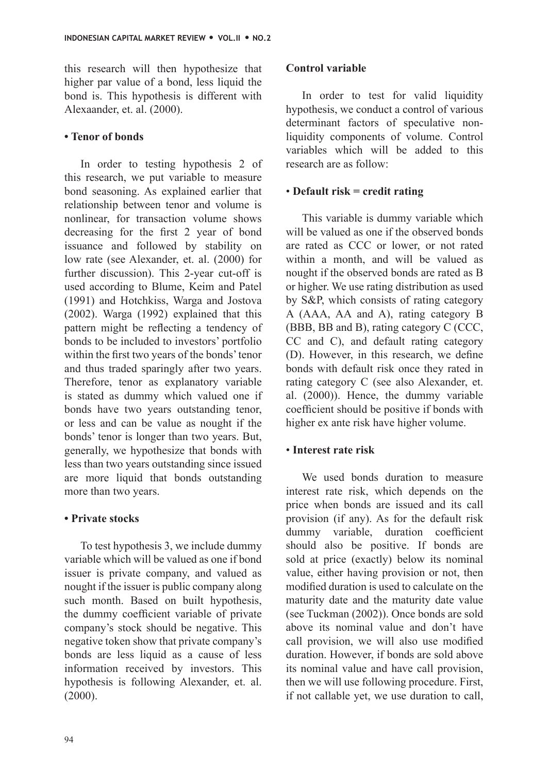this research will then hypothesize that higher par value of a bond, less liquid the bond is. This hypothesis is different with Alexaander, et. al. (2000).

#### **• Tenor of bonds**

In order to testing hypothesis 2 of this research, we put variable to measure bond seasoning. As explained earlier that relationship between tenor and volume is nonlinear, for transaction volume shows decreasing for the first 2 year of bond issuance and followed by stability on low rate (see Alexander, et. al. (2000) for further discussion). This 2-year cut-off is used according to Blume, Keim and Patel (1991) and Hotchkiss, Warga and Jostova (2002). Warga (1992) explained that this pattern might be reflecting a tendency of bonds to be included to investors' portfolio within the first two years of the bonds' tenor and thus traded sparingly after two years. Therefore, tenor as explanatory variable is stated as dummy which valued one if bonds have two years outstanding tenor, or less and can be value as nought if the bonds' tenor is longer than two years. But, generally, we hypothesize that bonds with less than two years outstanding since issued are more liquid that bonds outstanding more than two years.

#### **• Private stocks**

To test hypothesis 3, we include dummy variable which will be valued as one if bond issuer is private company, and valued as nought if the issuer is public company along such month. Based on built hypothesis, the dummy coefficient variable of private company's stock should be negative. This negative token show that private company's bonds are less liquid as a cause of less information received by investors. This hypothesis is following Alexander, et. al. (2000).

#### **Control variable**

In order to test for valid liquidity hypothesis, we conduct a control of various determinant factors of speculative nonliquidity components of volume. Control variables which will be added to this research are as follow:

#### • **Default risk = credit rating**

This variable is dummy variable which will be valued as one if the observed bonds are rated as CCC or lower, or not rated within a month, and will be valued as nought if the observed bonds are rated as B or higher. We use rating distribution as used by S&P, which consists of rating category A (AAA, AA and A), rating category B (BBB, BB and B), rating category C (CCC, CC and C), and default rating category (D). However, in this research, we define bonds with default risk once they rated in rating category C (see also Alexander, et. al. (2000)). Hence, the dummy variable coefficient should be positive if bonds with higher ex ante risk have higher volume.

#### • **Interest rate risk**

We used bonds duration to measure interest rate risk, which depends on the price when bonds are issued and its call provision (if any). As for the default risk dummy variable, duration coefficient should also be positive. If bonds are sold at price (exactly) below its nominal value, either having provision or not, then modified duration is used to calculate on the maturity date and the maturity date value (see Tuckman (2002)). Once bonds are sold above its nominal value and don't have call provision, we will also use modified duration. However, if bonds are sold above its nominal value and have call provision, then we will use following procedure. First, if not callable yet, we use duration to call,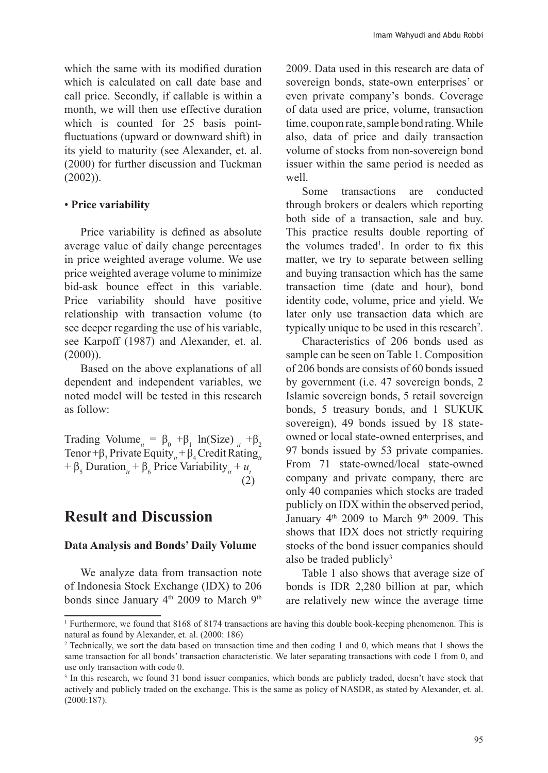which the same with its modified duration which is calculated on call date base and call price. Secondly, if callable is within a month, we will then use effective duration which is counted for 25 basis pointfluctuations (upward or downward shift) in its yield to maturity (see Alexander, et. al. (2000) for further discussion and Tuckman (2002)).

#### • **Price variability**

Price variability is defined as absolute average value of daily change percentages in price weighted average volume. We use price weighted average volume to minimize bid-ask bounce effect in this variable. Price variability should have positive relationship with transaction volume (to see deeper regarding the use of his variable, see Karpoff (1987) and Alexander, et. al.  $(2000)$ ).

Based on the above explanations of all dependent and independent variables, we noted model will be tested in this research as follow:

Trading Volume<sub>*it*</sub> =  $\beta_0$  + $\beta_1$  ln(Size)<sub>*it*</sub> + $\beta_2$ Tenor + β<sub>3</sub> Private Equity<sub>*it*</sub> + β<sub>4</sub> Credit Rating<sub>*it*</sub> +  $\beta_5$  Duration<sub>*it*</sub> +  $\beta_6$  Price Variability<sub>*it*</sub> + *u<sub>t</sub>* (2)

### **Result and Discussion**

#### **Data Analysis and Bonds' Daily Volume**

We analyze data from transaction note of Indonesia Stock Exchange (IDX) to 206 bonds since January 4<sup>th</sup> 2009 to March 9<sup>th</sup>

2009. Data used in this research are data of sovereign bonds, state-own enterprises' or even private company's bonds. Coverage of data used are price, volume, transaction time, coupon rate, sample bond rating. While also, data of price and daily transaction volume of stocks from non-sovereign bond issuer within the same period is needed as well.

Some transactions are conducted through brokers or dealers which reporting both side of a transaction, sale and buy. This practice results double reporting of the volumes traded<sup>1</sup>. In order to fix this matter, we try to separate between selling and buying transaction which has the same transaction time (date and hour), bond identity code, volume, price and yield. We later only use transaction data which are typically unique to be used in this research<sup>2</sup>.

Characteristics of 206 bonds used as sample can be seen on Table 1. Composition of 206 bonds are consists of 60 bonds issued by government (i.e. 47 sovereign bonds, 2 Islamic sovereign bonds, 5 retail sovereign bonds, 5 treasury bonds, and 1 SUKUK sovereign), 49 bonds issued by 18 stateowned or local state-owned enterprises, and 97 bonds issued by 53 private companies. From 71 state-owned/local state-owned company and private company, there are only 40 companies which stocks are traded publicly on IDX within the observed period, January  $4<sup>th</sup>$  2009 to March 9<sup>th</sup> 2009. This shows that IDX does not strictly requiring stocks of the bond issuer companies should also be traded publicly $3$ 

Table 1 also shows that average size of bonds is IDR 2,280 billion at par, which are relatively new wince the average time

<sup>1</sup> Furthermore, we found that 8168 of 8174 transactions are having this double book-keeping phenomenon. This is natural as found by Alexander, et. al. (2000: 186)

<sup>2</sup> Technically, we sort the data based on transaction time and then coding 1 and 0, which means that 1 shows the same transaction for all bonds' transaction characteristic. We later separating transactions with code 1 from 0, and use only transaction with code 0.

<sup>&</sup>lt;sup>3</sup> In this research, we found 31 bond issuer companies, which bonds are publicly traded, doesn't have stock that actively and publicly traded on the exchange. This is the same as policy of NASDR, as stated by Alexander, et. al. (2000:187).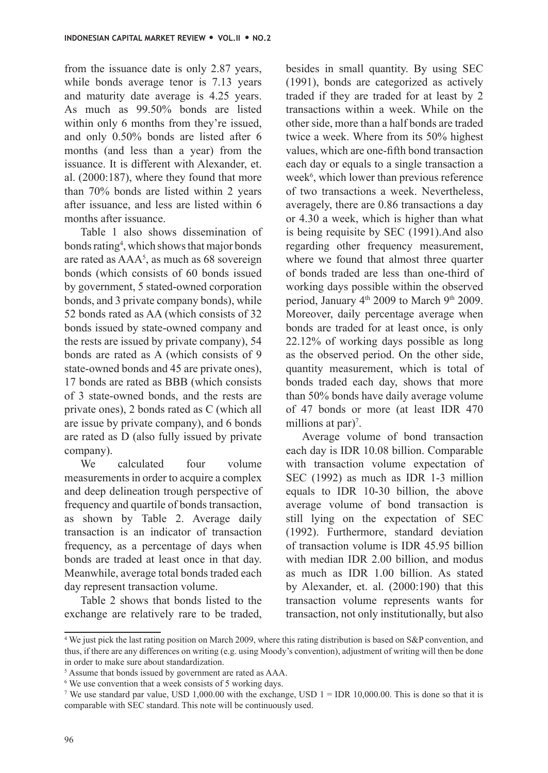from the issuance date is only 2.87 years, while bonds average tenor is 7.13 years and maturity date average is 4.25 years. As much as 99.50% bonds are listed within only 6 months from they're issued, and only 0.50% bonds are listed after 6 months (and less than a year) from the issuance. It is different with Alexander, et. al. (2000:187), where they found that more than 70% bonds are listed within 2 years after issuance, and less are listed within 6 months after issuance.

Table 1 also shows dissemination of bonds rating<sup>4</sup>, which shows that major bonds are rated as  $AAA^5$ , as much as 68 sovereign bonds (which consists of 60 bonds issued by government, 5 stated-owned corporation bonds, and 3 private company bonds), while 52 bonds rated as AA (which consists of 32 bonds issued by state-owned company and the rests are issued by private company), 54 bonds are rated as A (which consists of 9 state-owned bonds and 45 are private ones), 17 bonds are rated as BBB (which consists of 3 state-owned bonds, and the rests are private ones), 2 bonds rated as C (which all are issue by private company), and 6 bonds are rated as D (also fully issued by private company).

We calculated four volume measurements in order to acquire a complex and deep delineation trough perspective of frequency and quartile of bonds transaction, as shown by Table 2. Average daily transaction is an indicator of transaction frequency, as a percentage of days when bonds are traded at least once in that day. Meanwhile, average total bonds traded each day represent transaction volume.

Table 2 shows that bonds listed to the exchange are relatively rare to be traded, besides in small quantity. By using SEC (1991), bonds are categorized as actively traded if they are traded for at least by 2 transactions within a week. While on the other side, more than a half bonds are traded twice a week. Where from its 50% highest values, which are one-fifth bond transaction each day or equals to a single transaction a week<sup>6</sup>, which lower than previous reference of two transactions a week. Nevertheless, averagely, there are 0.86 transactions a day or 4.30 a week, which is higher than what is being requisite by SEC (1991).And also regarding other frequency measurement, where we found that almost three quarter of bonds traded are less than one-third of working days possible within the observed period, January  $4<sup>th</sup>$  2009 to March 9<sup>th</sup> 2009. Moreover, daily percentage average when bonds are traded for at least once, is only 22.12% of working days possible as long as the observed period. On the other side, quantity measurement, which is total of bonds traded each day, shows that more than 50% bonds have daily average volume of 47 bonds or more (at least IDR 470 millions at par)<sup>7</sup>.

Average volume of bond transaction each day is IDR 10.08 billion. Comparable with transaction volume expectation of SEC (1992) as much as IDR 1-3 million equals to IDR 10-30 billion, the above average volume of bond transaction is still lying on the expectation of SEC (1992). Furthermore, standard deviation of transaction volume is IDR 45.95 billion with median IDR 2.00 billion, and modus as much as IDR 1.00 billion. As stated by Alexander, et. al. (2000:190) that this transaction volume represents wants for transaction, not only institutionally, but also

<sup>4</sup> We just pick the last rating position on March 2009, where this rating distribution is based on S&P convention, and thus, if there are any differences on writing (e.g. using Moody's convention), adjustment of writing will then be done in order to make sure about standardization.

<sup>&</sup>lt;sup>5</sup> Assume that bonds issued by government are rated as AAA.

<sup>6</sup> We use convention that a week consists of 5 working days.

<sup>&</sup>lt;sup>7</sup> We use standard par value, USD 1,000.00 with the exchange, USD  $1 =$  IDR 10,000.00. This is done so that it is comparable with SEC standard. This note will be continuously used.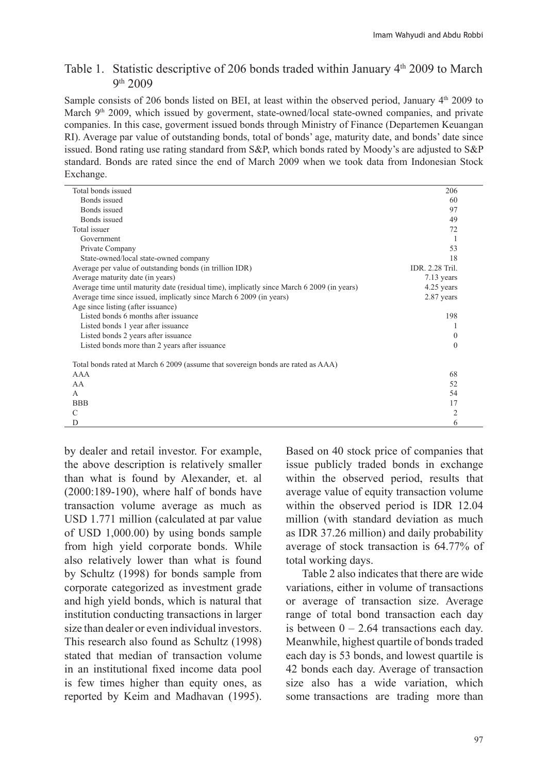#### Table 1. Statistic descriptive of 206 bonds traded within January  $4<sup>th</sup>$  2009 to March 9 th 2009

Sample consists of 206 bonds listed on BEI, at least within the observed period, January  $4<sup>th</sup>$  2009 to March 9<sup>th</sup> 2009, which issued by goverment, state-owned/local state-owned companies, and private companies. In this case, goverment issued bonds through Ministry of Finance (Departemen Keuangan RI). Average par value of outstanding bonds, total of bonds' age, maturity date, and bonds' date since issued. Bond rating use rating standard from S&P, which bonds rated by Moody's are adjusted to S&P standard. Bonds are rated since the end of March 2009 when we took data from Indonesian Stock Exchange.

| Total bonds issued                                                                         | 206             |  |
|--------------------------------------------------------------------------------------------|-----------------|--|
| Bonds issued                                                                               | 60              |  |
| Bonds issued                                                                               | 97              |  |
| Bonds issued                                                                               | 49              |  |
| Total issuer                                                                               | 72              |  |
| Government                                                                                 |                 |  |
| Private Company                                                                            | 53              |  |
| State-owned/local state-owned company                                                      | 18              |  |
| Average per value of outstanding bonds (in trillion IDR)                                   | IDR. 2.28 Tril. |  |
| Average maturity date (in years)                                                           | 7.13 years      |  |
| Average time until maturity date (residual time), implicatly since March 6 2009 (in years) | 4.25 years      |  |
| Average time since issued, implicatly since March 6 2009 (in years)                        | 2.87 years      |  |
| Age since listing (after issuance)                                                         |                 |  |
| Listed bonds 6 months after issuance                                                       | 198             |  |
| Listed bonds 1 year after issuance                                                         |                 |  |
| Listed bonds 2 years after issuance                                                        | $\mathbf{0}$    |  |
| Listed bonds more than 2 years after issuance                                              | $\Omega$        |  |
|                                                                                            |                 |  |
| Total bonds rated at March 6 2009 (assume that sovereign bonds are rated as AAA)           |                 |  |
| AAA                                                                                        | 68              |  |
| AA                                                                                         | 52              |  |
| $\mathsf{A}$                                                                               | 54              |  |
| <b>BBB</b>                                                                                 | 17              |  |
| C                                                                                          | 2               |  |
| D                                                                                          | 6               |  |
|                                                                                            |                 |  |

by dealer and retail investor. For example, the above description is relatively smaller than what is found by Alexander, et. al (2000:189-190), where half of bonds have transaction volume average as much as USD 1.771 million (calculated at par value of USD 1,000.00) by using bonds sample from high yield corporate bonds. While also relatively lower than what is found by Schultz (1998) for bonds sample from corporate categorized as investment grade and high yield bonds, which is natural that institution conducting transactions in larger size than dealer or even individual investors. This research also found as Schultz (1998) stated that median of transaction volume in an institutional fixed income data pool is few times higher than equity ones, as reported by Keim and Madhavan (1995).

Based on 40 stock price of companies that issue publicly traded bonds in exchange within the observed period, results that average value of equity transaction volume within the observed period is IDR 12.04 million (with standard deviation as much as IDR 37.26 million) and daily probability average of stock transaction is 64.77% of total working days.

Table 2 also indicates that there are wide variations, either in volume of transactions or average of transaction size. Average range of total bond transaction each day is between  $0 - 2.64$  transactions each day. Meanwhile, highest quartile of bonds traded each day is 53 bonds, and lowest quartile is 42 bonds each day. Average of transaction size also has a wide variation, which some transactions are trading more than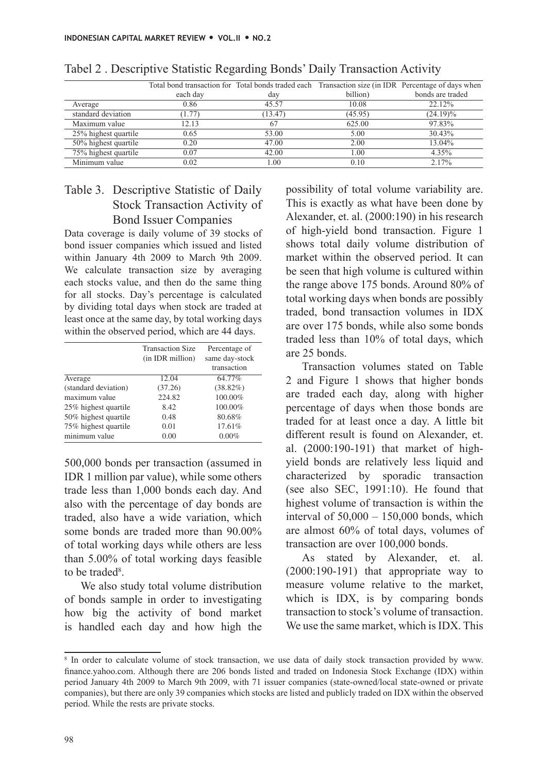|                      | Total bond transaction for Total bonds traded each Transaction size (in IDR Percentage of days when |         |          |                  |
|----------------------|-----------------------------------------------------------------------------------------------------|---------|----------|------------------|
|                      | each day                                                                                            | day     | billion) | bonds are traded |
| Average              | 0.86                                                                                                | 45.57   | 10.08    | 22.12%           |
| standard deviation   | (1.77)                                                                                              | (13.47) | (45.95)  | $(24.19)\%$      |
| Maximum value        | 12.13                                                                                               |         | 625.00   | 97.83%           |
| 25% highest quartile | 0.65                                                                                                | 53.00   | 5.00     | 30.43%           |
| 50% highest quartile | 0.20                                                                                                | 47.00   | 2.00     | 13.04%           |
| 75% highest quartile | 0.07                                                                                                | 42.00   | 1.00     | 4.35%            |
| Minimum value        | 0.02                                                                                                | .00     | 0.10     | 2.17%            |

#### Tabel 2 . Descriptive Statistic Regarding Bonds' Daily Transaction Activity

#### Table 3. Descriptive Statistic of Daily Stock Transaction Activity of Bond Issuer Companies

Data coverage is daily volume of 39 stocks of bond issuer companies which issued and listed within January 4th 2009 to March 9th 2009. We calculate transaction size by averaging each stocks value, and then do the same thing for all stocks. Day's percentage is calculated by dividing total days when stock are traded at least once at the same day, by total working days within the observed period, which are 44 days.

|                      | <b>Transaction Size</b><br>(in IDR million) | Percentage of<br>same day-stock<br>transaction |
|----------------------|---------------------------------------------|------------------------------------------------|
| Average              | 12.04                                       | 64.77%                                         |
| (standard deviation) | (37.26)                                     | $(38.82\%)$                                    |
| maximum value        | 224.82                                      | 100.00%                                        |
| 25% highest quartile | 8.42                                        | 100.00%                                        |
| 50% highest quartile | 0.48                                        | 80.68%                                         |
| 75% highest quartile | 0.01                                        | 17.61%                                         |
| minimum value        | 0.00                                        | $0.00\%$                                       |

500,000 bonds per transaction (assumed in IDR 1 million par value), while some others trade less than 1,000 bonds each day. And also with the percentage of day bonds are traded, also have a wide variation, which some bonds are traded more than 90.00% of total working days while others are less than 5.00% of total working days feasible to be traded<sup>8</sup>.

We also study total volume distribution of bonds sample in order to investigating how big the activity of bond market is handled each day and how high the possibility of total volume variability are. This is exactly as what have been done by Alexander, et. al. (2000:190) in his research of high-yield bond transaction. Figure 1 shows total daily volume distribution of market within the observed period. It can be seen that high volume is cultured within the range above 175 bonds. Around 80% of total working days when bonds are possibly traded, bond transaction volumes in IDX are over 175 bonds, while also some bonds traded less than 10% of total days, which are 25 bonds.

Transaction volumes stated on Table 2 and Figure 1 shows that higher bonds are traded each day, along with higher percentage of days when those bonds are traded for at least once a day. A little bit different result is found on Alexander, et. al. (2000:190-191) that market of highyield bonds are relatively less liquid and characterized by sporadic transaction (see also SEC, 1991:10). He found that highest volume of transaction is within the interval of  $50,000 - 150,000$  bonds, which are almost 60% of total days, volumes of transaction are over 100,000 bonds.

As stated by Alexander, et. al. (2000:190-191) that appropriate way to measure volume relative to the market, which is IDX, is by comparing bonds transaction to stock's volume of transaction. We use the same market, which is IDX. This

<sup>8</sup> In order to calculate volume of stock transaction, we use data of daily stock transaction provided by www. finance.yahoo.com. Although there are 206 bonds listed and traded on Indonesia Stock Exchange (IDX) within period January 4th 2009 to March 9th 2009, with 71 issuer companies (state-owned/local state-owned or private companies), but there are only 39 companies which stocks are listed and publicly traded on IDX within the observed period. While the rests are private stocks.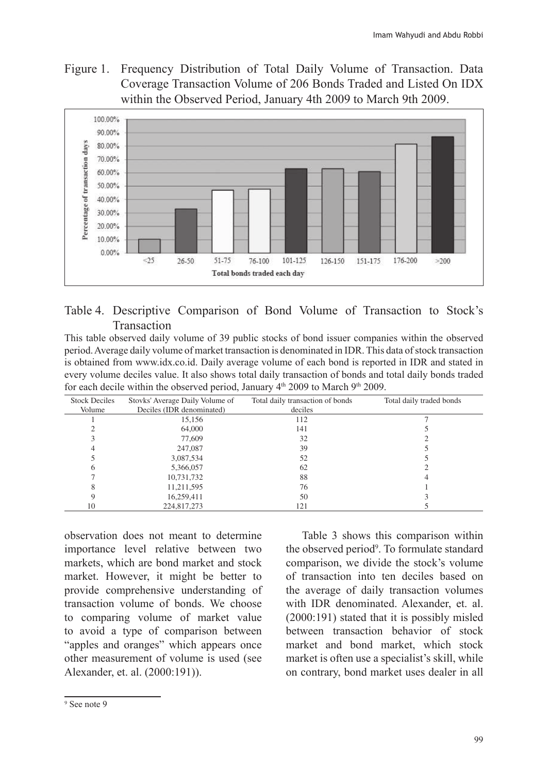Figure 1. Frequency Distribution of Total Daily Volume of Transaction. Data Coverage Transaction Volume of 206 Bonds Traded and Listed On IDX within the Observed Period, January 4th 2009 to March 9th 2009.



#### Table 4. Descriptive Comparison of Bond Volume of Transaction to Stock's Transaction

This table observed daily volume of 39 public stocks of bond issuer companies within the observed period. Average daily volume of market transaction is denominated in IDR. This data of stock transaction is obtained from www.idx.co.id. Daily average volume of each bond is reported in IDR and stated in every volume deciles value. It also shows total daily transaction of bonds and total daily bonds traded for each decile within the observed period, January  $4<sup>th</sup>$  2009 to March 9<sup>th</sup> 2009.

| <b>Stock Deciles</b> | Stovks' Average Daily Volume of | Total daily transaction of bonds | Total daily traded bonds |
|----------------------|---------------------------------|----------------------------------|--------------------------|
| Volume               | Deciles (IDR denominated)       | deciles                          |                          |
|                      | 15,156                          | 112                              |                          |
|                      | 64,000                          | 141                              |                          |
|                      | 77,609                          | 32                               |                          |
|                      | 247,087                         | 39                               |                          |
|                      | 3,087,534                       | 52                               |                          |
| n                    | 5,366,057                       | 62                               |                          |
|                      | 10,731,732                      | 88                               |                          |
| 8                    | 11,211,595                      | 76                               |                          |
|                      | 16,259,411                      | 50                               |                          |
| 10                   | 224,817,273                     | 121                              |                          |

observation does not meant to determine importance level relative between two markets, which are bond market and stock market. However, it might be better to provide comprehensive understanding of transaction volume of bonds. We choose to comparing volume of market value to avoid a type of comparison between "apples and oranges" which appears once other measurement of volume is used (see Alexander, et. al. (2000:191)).

Table 3 shows this comparison within the observed period<sup>9</sup>. To formulate standard comparison, we divide the stock's volume of transaction into ten deciles based on the average of daily transaction volumes with IDR denominated. Alexander, et. al. (2000:191) stated that it is possibly misled between transaction behavior of stock market and bond market, which stock market is often use a specialist's skill, while on contrary, bond market uses dealer in all

<sup>9</sup> See note 9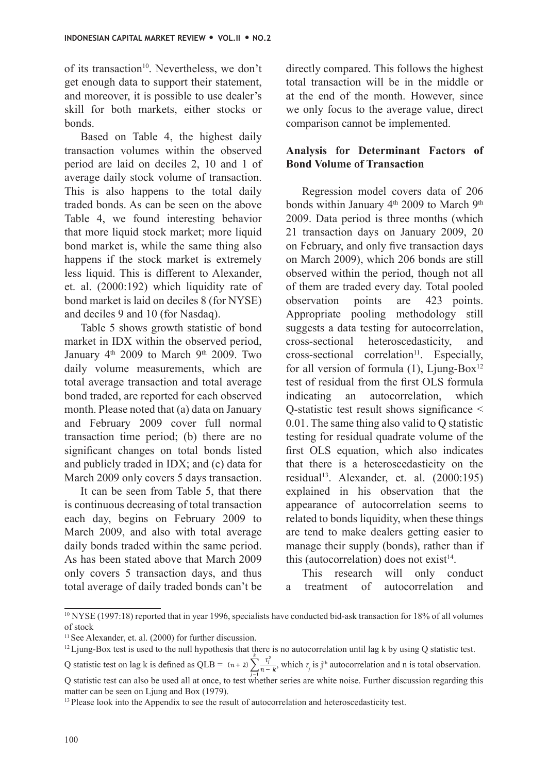of its transaction<sup>10</sup>. Nevertheless, we don't get enough data to support their statement, and moreover, it is possible to use dealer's skill for both markets, either stocks or bonds.

Based on Table 4, the highest daily transaction volumes within the observed period are laid on deciles 2, 10 and 1 of average daily stock volume of transaction. This is also happens to the total daily traded bonds. As can be seen on the above Table 4, we found interesting behavior that more liquid stock market; more liquid bond market is, while the same thing also happens if the stock market is extremely less liquid. This is different to Alexander, et. al. (2000:192) which liquidity rate of bond market is laid on deciles 8 (for NYSE) and deciles 9 and 10 (for Nasdaq).

Table 5 shows growth statistic of bond market in IDX within the observed period, January  $4<sup>th</sup>$  2009 to March 9<sup>th</sup> 2009. Two daily volume measurements, which are total average transaction and total average bond traded, are reported for each observed month. Please noted that (a) data on January and February 2009 cover full normal transaction time period; (b) there are no significant changes on total bonds listed and publicly traded in IDX; and (c) data for March 2009 only covers 5 days transaction.

It can be seen from Table 5, that there is continuous decreasing of total transaction each day, begins on February 2009 to March 2009, and also with total average daily bonds traded within the same period. As has been stated above that March 2009 only covers 5 transaction days, and thus total average of daily traded bonds can't be

directly compared. This follows the highest total transaction will be in the middle or at the end of the month. However, since we only focus to the average value, direct comparison cannot be implemented.

#### **Analysis for Determinant Factors of Bond Volume of Transaction**

Regression model covers data of 206 bonds within January 4<sup>th</sup> 2009 to March 9<sup>th</sup> 2009. Data period is three months (which 21 transaction days on January 2009, 20 on February, and only five transaction days on March 2009), which 206 bonds are still observed within the period, though not all of them are traded every day. Total pooled observation points are 423 points. Appropriate pooling methodology still suggests a data testing for autocorrelation, cross-sectional heteroscedasticity, and  $cross-sectional correlation<sup>11</sup>. Especially,$ for all version of formula  $(1)$ , Ljung-Box<sup>12</sup> test of residual from the first OLS formula indicating an autocorrelation, which Q-statistic test result shows significance < 0.01. The same thing also valid to Q statistic testing for residual quadrate volume of the first OLS equation, which also indicates that there is a heteroscedasticity on the residual<sup>13</sup>. Alexander, et. al.  $(2000:195)$ explained in his observation that the appearance of autocorrelation seems to related to bonds liquidity, when these things are tend to make dealers getting easier to manage their supply (bonds), rather than if this (autocorrelation) does not exist<sup>14</sup>.

This research will only conduct a treatment of autocorrelation and

<sup>10</sup> NYSE (1997:18) reported that in year 1996, specialists have conducted bid-ask transaction for 18% of all volumes of stock

<sup>&</sup>lt;sup>11</sup> See Alexander, et. al. (2000) for further discussion.

<sup>&</sup>lt;sup>12</sup> Ljung-Box test is used to the null hypothesis that there is no autocorrelation until lag k by using Q statistic test.

Q statistic test on lag k is defined as QLB =  $(n+2)\sum_{n=k}^{\infty} j^{\text{th}}$  which  $\tau_j$  is j<sup>th</sup> autocorrelation and n is total observation.

Q statistic test can also be used all at once, to test whether series are white noise. Further discussion regarding this matter can be seen on Ljung and Box (1979).

<sup>&</sup>lt;sup>13</sup> Please look into the Appendix to see the result of autocorrelation and heteroscedasticity test.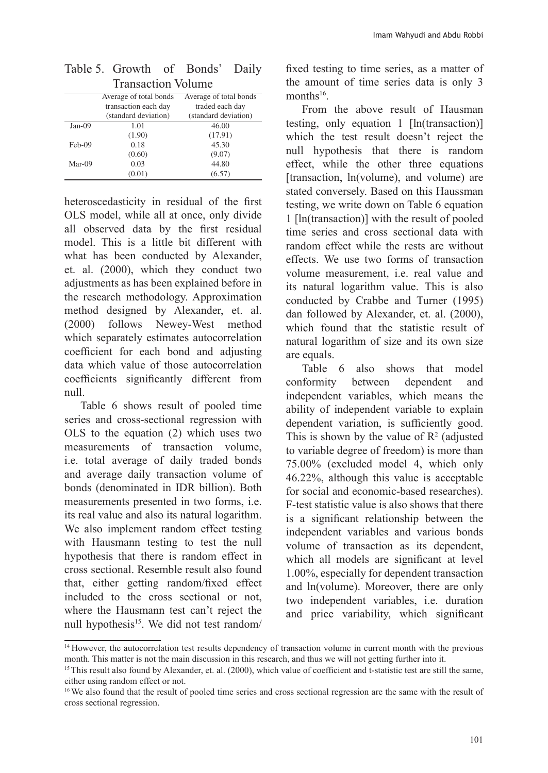|          | TTUHSUULIVII VOIUIIIU  |                        |
|----------|------------------------|------------------------|
|          | Average of total bonds | Average of total bonds |
|          | transaction each day   | traded each day        |
|          | (standard deviation)   | (standard deviation)   |
| $Jan-09$ | 1.01                   | 46.00                  |
|          | (1.90)                 | (17.91)                |
| Feb-09   | 0.18                   | 45.30                  |
|          | (0.60)                 | (9.07)                 |
| Mar-09   | 0.03                   | 44.80                  |
|          | (0.01)                 | (6.57)                 |
|          |                        |                        |

| Table 5. Growth of Bonds' Daily |  |  |
|---------------------------------|--|--|
| <b>Transaction Volume</b>       |  |  |

heteroscedasticity in residual of the first OLS model, while all at once, only divide all observed data by the first residual model. This is a little bit different with what has been conducted by Alexander, et. al. (2000), which they conduct two adjustments as has been explained before in the research methodology. Approximation method designed by Alexander, et. al. (2000) follows Newey-West method which separately estimates autocorrelation coefficient for each bond and adjusting data which value of those autocorrelation coefficients significantly different from null.

Table 6 shows result of pooled time series and cross-sectional regression with OLS to the equation (2) which uses two measurements of transaction volume, i.e. total average of daily traded bonds and average daily transaction volume of bonds (denominated in IDR billion). Both measurements presented in two forms, i.e. its real value and also its natural logarithm. We also implement random effect testing with Hausmann testing to test the null hypothesis that there is random effect in cross sectional. Resemble result also found that, either getting random/fixed effect included to the cross sectional or not, where the Hausmann test can't reject the null hypothesis<sup>15</sup>. We did not test random/ fixed testing to time series, as a matter of the amount of time series data is only 3 months<sup>16</sup>.

From the above result of Hausman testing, only equation 1 [ln(transaction)] which the test result doesn't reject the null hypothesis that there is random effect, while the other three equations [transaction, ln(volume), and volume) are stated conversely. Based on this Haussman testing, we write down on Table 6 equation 1 [ln(transaction)] with the result of pooled time series and cross sectional data with random effect while the rests are without effects. We use two forms of transaction volume measurement, i.e. real value and its natural logarithm value. This is also conducted by Crabbe and Turner (1995) dan followed by Alexander, et. al. (2000), which found that the statistic result of natural logarithm of size and its own size are equals.

Table 6 also shows that model conformity between dependent and independent variables, which means the ability of independent variable to explain dependent variation, is sufficiently good. This is shown by the value of  $\mathbb{R}^2$  (adjusted to variable degree of freedom) is more than 75.00% (excluded model 4, which only 46.22%, although this value is acceptable for social and economic-based researches). F-test statistic value is also shows that there is a significant relationship between the independent variables and various bonds volume of transaction as its dependent, which all models are significant at level 1.00%, especially for dependent transaction and ln(volume). Moreover, there are only two independent variables, i.e. duration and price variability, which significant

<sup>&</sup>lt;sup>14</sup> However, the autocorrelation test results dependency of transaction volume in current month with the previous month. This matter is not the main discussion in this research, and thus we will not getting further into it.

<sup>&</sup>lt;sup>15</sup>This result also found by Alexander, et. al. (2000), which value of coefficient and t-statistic test are still the same, either using random effect or not.

<sup>&</sup>lt;sup>16</sup>We also found that the result of pooled time series and cross sectional regression are the same with the result of cross sectional regression.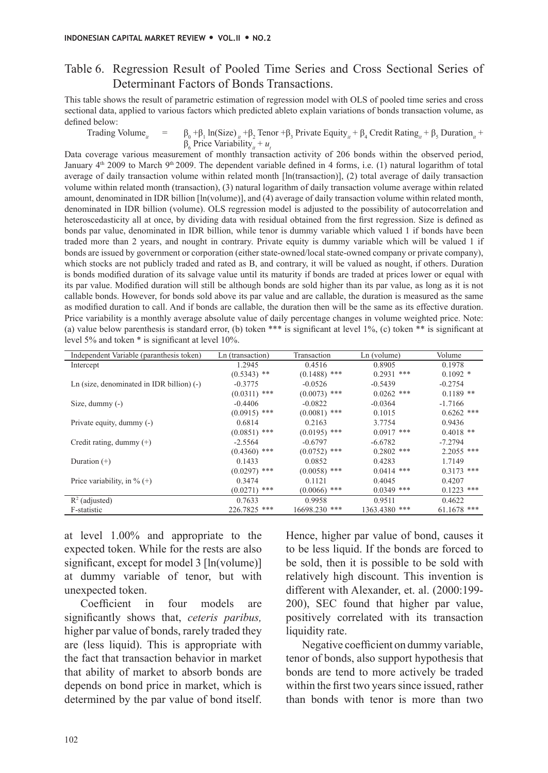#### Table 6. Regression Result of Pooled Time Series and Cross Sectional Series of Determinant Factors of Bonds Transactions.

This table shows the result of parametric estimation of regression model with OLS of pooled time series and cross sectional data, applied to various factors which predicted ableto explain variations of bonds transaction volume, as defined below:

Trading Volume<sub>*i*</sub> =  $+\beta_1 \ln(Size)_{it} + \beta_2$  Tenor  $+\beta_3$  Private Equity<sub>it</sub> +  $\beta_4$  Credit Rating<sub>it</sub> +  $\beta_5$  Duration<sub>it</sub> +  $\beta_6$  Price Variability<sub>*it*</sub> + *u*<sub>t</sub>

Data coverage various measurement of monthly transaction activity of 206 bonds within the observed period, January 4<sup>th</sup> 2009 to March 9<sup>th</sup> 2009. The dependent variable defined in 4 forms, i.e. (1) natural logarithm of total average of daily transaction volume within related month [ln(transaction)], (2) total average of daily transaction volume within related month (transaction), (3) natural logarithm of daily transaction volume average within related amount, denominated in IDR billion [ln(volume)], and (4) average of daily transaction volume within related month, denominated in IDR billion (volume). OLS regression model is adjusted to the possibility of autocorrelation and heteroscedasticity all at once, by dividing data with residual obtained from the first regression. Size is defined as bonds par value, denominated in IDR billion, while tenor is dummy variable which valued 1 if bonds have been traded more than 2 years, and nought in contrary. Private equity is dummy variable which will be valued 1 if bonds are issued by government or corporation (either state-owned/local state-owned company or private company), which stocks are not publicly traded and rated as B, and contrary, it will be valued as nought, if others. Duration is bonds modified duration of its salvage value until its maturity if bonds are traded at prices lower or equal with its par value. Modified duration will still be although bonds are sold higher than its par value, as long as it is not callable bonds. However, for bonds sold above its par value and are callable, the duration is measured as the same as modified duration to call. And if bonds are callable, the duration then will be the same as its effective duration. Price variability is a monthly average absolute value of daily percentage changes in volume weighted price. Note: (a) value below parenthesis is standard error, (b) token \*\*\* is significant at level 1%, (c) token \*\* is significant at level 5% and token \* is significant at level 10%.

| Independent Variable (paranthesis token)    | Ln (transaction) | Transaction    | Ln (volume)   | Volume        |
|---------------------------------------------|------------------|----------------|---------------|---------------|
| Intercept                                   | 1.2945           | 0.4516         | 0.8905        | 0.1978        |
|                                             | $(0.5343)$ **    | $(0.1488)$ *** | $0.2931$ ***  | $0.1092*$     |
| Ln (size, denominated in IDR billion) $(-)$ | $-0.3775$        | $-0.0526$      | $-0.5439$     | $-0.2754$     |
|                                             | $(0.0311)$ ***   | $(0.0073)$ *** | $0.0262$ ***  | $0.1189$ **   |
| Size, dummy $(-)$                           | $-0.4406$        | $-0.0822$      | $-0.0364$     | $-1.7166$     |
|                                             | $(0.0915)$ ***   | $(0.0081)$ *** | 0.1015        | $0.6262$ ***  |
| Private equity, dummy (-)                   | 0.6814           | 0.2163         | 3.7754        | 0.9436        |
|                                             | $(0.0851)$ ***   | $(0.0195)$ *** | $0.0917$ ***  | $0.4018$ **   |
| Credit rating, dummy $(+)$                  | $-2.5564$        | $-0.6797$      | $-6.6782$     | $-7.2794$     |
|                                             | $(0.4360)$ ***   | $(0.0752)$ *** | $0.2802$ ***  | $2.2055$ ***  |
| Duration $(+)$                              | 0.1433           | 0.0852         | 0.4283        | 1.7149        |
|                                             | $(0.0297)$ ***   | $(0.0058)$ *** | $0.0414$ ***  | $0.3173$ ***  |
| Price variability, in $\%$ (+)              | 0.3474           | 0.1121         | 0.4045        | 0.4207        |
|                                             | $(0.0271)$ ***   | $(0.0066)$ *** | $0.0349$ ***  | $0.1223$ ***  |
| $R^2$ (adjusted)                            | 0.7633           | 0.9958         | 0.9511        | 0.4622        |
| F-statistic                                 | 226.7825 ***     | 16698.230 ***  | 1363.4380 *** | $61.1678$ *** |

at level 1.00% and appropriate to the expected token. While for the rests are also significant, except for model 3 [ln(volume)] at dummy variable of tenor, but with unexpected token.

Coefficient in four models are significantly shows that, *ceteris paribus,*  higher par value of bonds, rarely traded they are (less liquid). This is appropriate with the fact that transaction behavior in market that ability of market to absorb bonds are depends on bond price in market, which is determined by the par value of bond itself.

Hence, higher par value of bond, causes it to be less liquid. If the bonds are forced to be sold, then it is possible to be sold with relatively high discount. This invention is different with Alexander, et. al. (2000:199- 200), SEC found that higher par value, positively correlated with its transaction liquidity rate.

Negative coefficient on dummy variable, tenor of bonds, also support hypothesis that bonds are tend to more actively be traded within the first two years since issued, rather than bonds with tenor is more than two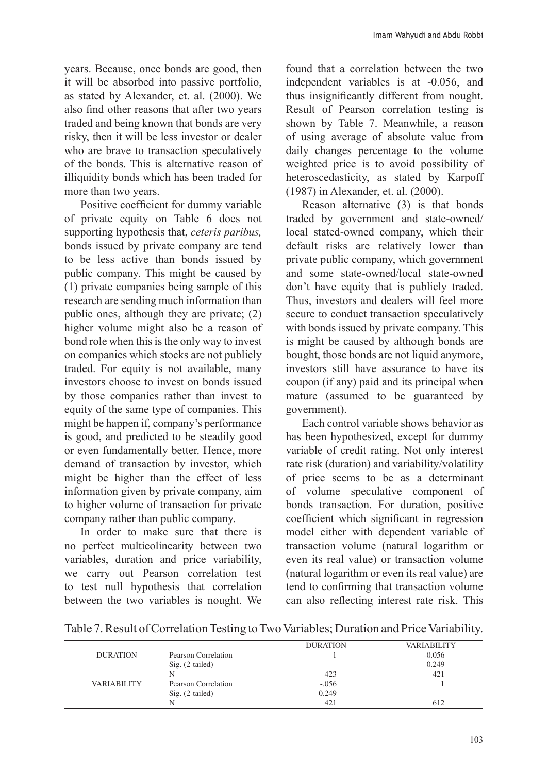years. Because, once bonds are good, then it will be absorbed into passive portfolio, as stated by Alexander, et. al. (2000). We also find other reasons that after two years traded and being known that bonds are very risky, then it will be less investor or dealer who are brave to transaction speculatively of the bonds. This is alternative reason of illiquidity bonds which has been traded for more than two years.

Positive coefficient for dummy variable of private equity on Table 6 does not supporting hypothesis that, *ceteris paribus,*  bonds issued by private company are tend to be less active than bonds issued by public company. This might be caused by (1) private companies being sample of this research are sending much information than public ones, although they are private; (2) higher volume might also be a reason of bond role when this is the only way to invest on companies which stocks are not publicly traded. For equity is not available, many investors choose to invest on bonds issued by those companies rather than invest to equity of the same type of companies. This might be happen if, company's performance is good, and predicted to be steadily good or even fundamentally better. Hence, more demand of transaction by investor, which might be higher than the effect of less information given by private company, aim to higher volume of transaction for private company rather than public company.

In order to make sure that there is no perfect multicolinearity between two variables, duration and price variability, we carry out Pearson correlation test to test null hypothesis that correlation between the two variables is nought. We

found that a correlation between the two independent variables is at -0.056, and thus insignificantly different from nought. Result of Pearson correlation testing is shown by Table 7. Meanwhile, a reason of using average of absolute value from daily changes percentage to the volume weighted price is to avoid possibility of heteroscedasticity, as stated by Karpoff (1987) in Alexander, et. al. (2000).

Reason alternative (3) is that bonds traded by government and state-owned/ local stated-owned company, which their default risks are relatively lower than private public company, which government and some state-owned/local state-owned don't have equity that is publicly traded. Thus, investors and dealers will feel more secure to conduct transaction speculatively with bonds issued by private company. This is might be caused by although bonds are bought, those bonds are not liquid anymore, investors still have assurance to have its coupon (if any) paid and its principal when mature (assumed to be guaranteed by government).

Each control variable shows behavior as has been hypothesized, except for dummy variable of credit rating. Not only interest rate risk (duration) and variability/volatility of price seems to be as a determinant of volume speculative component of bonds transaction. For duration, positive coefficient which significant in regression model either with dependent variable of transaction volume (natural logarithm or even its real value) or transaction volume (natural logarithm or even its real value) are tend to confirming that transaction volume can also reflecting interest rate risk. This

Table 7. Result of Correlation Testing to Two Variables; Duration and Price Variability.

|                    |                     | <b>DURATION</b> | <b>VARIABILITY</b> |
|--------------------|---------------------|-----------------|--------------------|
| <b>DURATION</b>    | Pearson Correlation |                 | $-0.056$           |
|                    | Sig. (2-tailed)     |                 | 0.249              |
|                    |                     | 423             | 421                |
| <b>VARIABILITY</b> | Pearson Correlation | $-.056$         |                    |
|                    | Sig. (2-tailed)     | 0.249           |                    |
|                    |                     | 421             | 612                |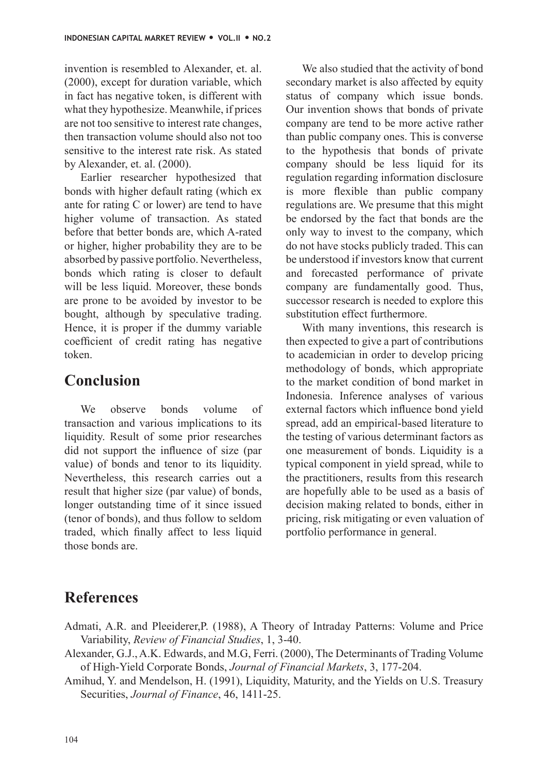invention is resembled to Alexander, et. al. (2000), except for duration variable, which in fact has negative token, is different with what they hypothesize. Meanwhile, if prices are not too sensitive to interest rate changes, then transaction volume should also not too sensitive to the interest rate risk. As stated by Alexander, et. al. (2000).

Earlier researcher hypothesized that bonds with higher default rating (which ex ante for rating C or lower) are tend to have higher volume of transaction. As stated before that better bonds are, which A-rated or higher, higher probability they are to be absorbed by passive portfolio. Nevertheless, bonds which rating is closer to default will be less liquid. Moreover, these bonds are prone to be avoided by investor to be bought, although by speculative trading. Hence, it is proper if the dummy variable coefficient of credit rating has negative token.

### **Conclusion**

We observe bonds volume of transaction and various implications to its liquidity. Result of some prior researches did not support the influence of size (par value) of bonds and tenor to its liquidity. Nevertheless, this research carries out a result that higher size (par value) of bonds, longer outstanding time of it since issued (tenor of bonds), and thus follow to seldom traded, which finally affect to less liquid those bonds are.

We also studied that the activity of bond secondary market is also affected by equity status of company which issue bonds. Our invention shows that bonds of private company are tend to be more active rather than public company ones. This is converse to the hypothesis that bonds of private company should be less liquid for its regulation regarding information disclosure is more flexible than public company regulations are. We presume that this might be endorsed by the fact that bonds are the only way to invest to the company, which do not have stocks publicly traded. This can be understood if investors know that current and forecasted performance of private company are fundamentally good. Thus, successor research is needed to explore this substitution effect furthermore.

With many inventions, this research is then expected to give a part of contributions to academician in order to develop pricing methodology of bonds, which appropriate to the market condition of bond market in Indonesia. Inference analyses of various external factors which influence bond yield spread, add an empirical-based literature to the testing of various determinant factors as one measurement of bonds. Liquidity is a typical component in yield spread, while to the practitioners, results from this research are hopefully able to be used as a basis of decision making related to bonds, either in pricing, risk mitigating or even valuation of portfolio performance in general.

### **References**

- Admati, A.R. and Pleeiderer,P. (1988), A Theory of Intraday Patterns: Volume and Price Variability, *Review of Financial Studies*, 1, 3-40.
- Alexander, G.J., A.K. Edwards, and M.G, Ferri. (2000), The Determinants of Trading Volume of High-Yield Corporate Bonds, *Journal of Financial Markets*, 3, 177-204.
- Amihud, Y. and Mendelson, H. (1991), Liquidity, Maturity, and the Yields on U.S. Treasury Securities, *Journal of Finance*, 46, 1411-25.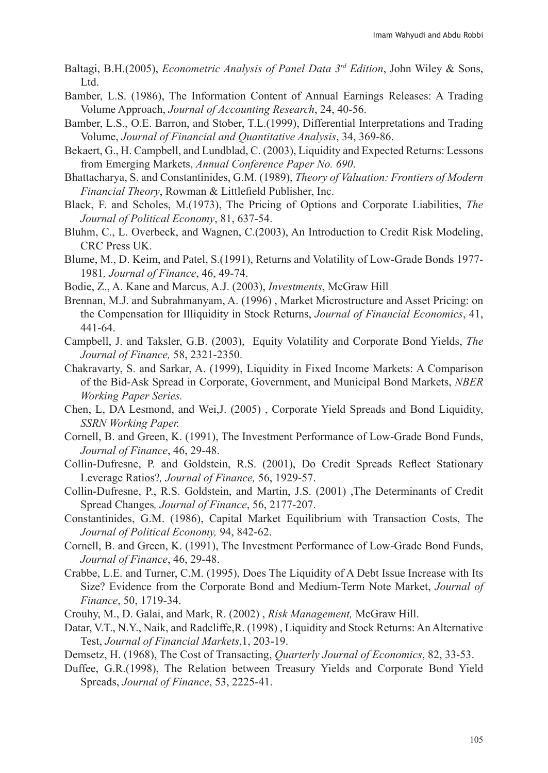- Baltagi, B.H.(2005), *Econometric Analysis of Panel Data 3rd Edition*, John Wiley & Sons, Ltd.
- Bamber, L.S. (1986), The Information Content of Annual Earnings Releases: A Trading Volume Approach, *Journal of Accounting Research*, 24, 40-56.
- Bamber, L.S., O.E. Barron, and Stober, T.L.(1999), Differential Interpretations and Trading Volume, *Journal of Financial and Quantitative Analysis*, 34, 369-86.
- Bekaert, G., H. Campbell, and Lundblad, C. (2003), Liquidity and Expected Returns: Lessons from Emerging Markets, *Annual Conference Paper No. 690*.
- Bhattacharya, S. and Constantinides, G.M. (1989), *Theory of Valuation: Frontiers of Modern Financial Theory*, Rowman & Littlefield Publisher, Inc.
- Black, F. and Scholes, M.(1973), The Pricing of Options and Corporate Liabilities, *The Journal of Political Economy*, 81, 637-54.
- Bluhm, C., L. Overbeck, and Wagnen, C.(2003), An Introduction to Credit Risk Modeling, CRC Press UK.
- Blume, M., D. Keim, and Patel, S.(1991), Returns and Volatility of Low-Grade Bonds 1977- 1981*, Journal of Finance*, 46, 49-74.
- Bodie, Z., A. Kane and Marcus, A.J. (2003), *Investments*, McGraw Hill
- Brennan, M.J. and Subrahmanyam, A. (1996) , Market Microstructure and Asset Pricing: on the Compensation for Illiquidity in Stock Returns, *Journal of Financial Economics*, 41, 441-64.
- Campbell, J. and Taksler, G.B. (2003), Equity Volatility and Corporate Bond Yields, *The Journal of Finance,* 58, 2321-2350.
- Chakravarty, S. and Sarkar, A. (1999), Liquidity in Fixed Income Markets: A Comparison of the Bid-Ask Spread in Corporate, Government, and Municipal Bond Markets, *NBER Working Paper Series.*
- Chen, L, DA Lesmond, and Wei,J. (2005) , Corporate Yield Spreads and Bond Liquidity, *SSRN Working Paper.*
- Cornell, B. and Green, K. (1991), The Investment Performance of Low-Grade Bond Funds, *Journal of Finance*, 46, 29-48.
- Collin-Dufresne, P. and Goldstein, R.S. (2001), Do Credit Spreads Reflect Stationary Leverage Ratios?*, Journal of Finance,* 56, 1929-57.
- Collin-Dufresne, P., R.S. Goldstein, and Martin, J.S. (2001) ,The Determinants of Credit Spread Changes*, Journal of Finance*, 56, 2177-207.
- Constantinides, G.M. (1986), Capital Market Equilibrium with Transaction Costs, The *Journal of Political Economy,* 94, 842-62.
- Cornell, B. and Green, K. (1991), The Investment Performance of Low-Grade Bond Funds, *Journal of Finance*, 46, 29-48.
- Crabbe, L.E. and Turner, C.M. (1995), Does The Liquidity of A Debt Issue Increase with Its Size? Evidence from the Corporate Bond and Medium-Term Note Market, *Journal of Finance*, 50, 1719-34.
- Crouhy, M., D. Galai, and Mark, R. (2002) , *Risk Management,* McGraw Hill.
- Datar, V.T., N.Y., Naik, and Radcliffe,R. (1998) , Liquidity and Stock Returns: An Alternative Test, *Journal of Financial Markets*,1, 203-19.
- Demsetz, H. (1968), The Cost of Transacting, *Quarterly Journal of Economics*, 82, 33-53.
- Duffee, G.R.(1998), The Relation between Treasury Yields and Corporate Bond Yield Spreads, *Journal of Finance*, 53, 2225-41.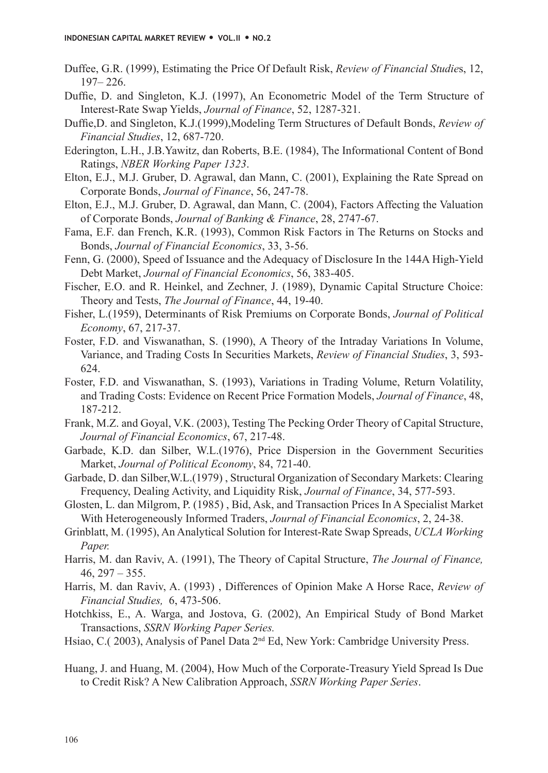- Duffee, G.R. (1999), Estimating the Price Of Default Risk, *Review of Financial Studie*s, 12, 197– 226.
- Duffie, D. and Singleton, K.J. (1997), An Econometric Model of the Term Structure of Interest-Rate Swap Yields, *Journal of Finance*, 52, 1287-321.
- Duffie,D. and Singleton, K.J.(1999),Modeling Term Structures of Default Bonds, *Review of Financial Studies*, 12, 687-720.
- Ederington, L.H., J.B.Yawitz, dan Roberts, B.E. (1984), The Informational Content of Bond Ratings, *NBER Working Paper 1323*.
- Elton, E.J., M.J. Gruber, D. Agrawal, dan Mann, C. (2001), Explaining the Rate Spread on Corporate Bonds, *Journal of Finance*, 56, 247-78.
- Elton, E.J., M.J. Gruber, D. Agrawal, dan Mann, C. (2004), Factors Affecting the Valuation of Corporate Bonds, *Journal of Banking & Finance*, 28, 2747-67.
- Fama, E.F. dan French, K.R. (1993), Common Risk Factors in The Returns on Stocks and Bonds, *Journal of Financial Economics*, 33, 3-56.
- Fenn, G. (2000), Speed of Issuance and the Adequacy of Disclosure In the 144A High-Yield Debt Market, *Journal of Financial Economics*, 56, 383-405.
- Fischer, E.O. and R. Heinkel, and Zechner, J. (1989), Dynamic Capital Structure Choice: Theory and Tests, *The Journal of Finance*, 44, 19-40.
- Fisher, L.(1959), Determinants of Risk Premiums on Corporate Bonds, *Journal of Political Economy*, 67, 217-37.
- Foster, F.D. and Viswanathan, S. (1990), A Theory of the Intraday Variations In Volume, Variance, and Trading Costs In Securities Markets, *Review of Financial Studies*, 3, 593- 624.
- Foster, F.D. and Viswanathan, S. (1993), Variations in Trading Volume, Return Volatility, and Trading Costs: Evidence on Recent Price Formation Models, *Journal of Finance*, 48, 187-212.
- Frank, M.Z. and Goyal, V.K. (2003), Testing The Pecking Order Theory of Capital Structure, *Journal of Financial Economics*, 67, 217-48.
- Garbade, K.D. dan Silber, W.L.(1976), Price Dispersion in the Government Securities Market, *Journal of Political Economy*, 84, 721-40.
- Garbade, D. dan Silber,W.L.(1979) , Structural Organization of Secondary Markets: Clearing Frequency, Dealing Activity, and Liquidity Risk, *Journal of Finance*, 34, 577-593.
- Glosten, L. dan Milgrom, P. (1985) , Bid, Ask, and Transaction Prices In A Specialist Market With Heterogeneously Informed Traders, *Journal of Financial Economics*, 2, 24-38.
- Grinblatt, M. (1995), An Analytical Solution for Interest-Rate Swap Spreads, *UCLA Working Paper.*
- Harris, M. dan Raviv, A. (1991), The Theory of Capital Structure, *The Journal of Finance,*   $46, 297 - 355.$
- Harris, M. dan Raviv, A. (1993) , Differences of Opinion Make A Horse Race, *Review of Financial Studies,* 6, 473-506.
- Hotchkiss, E., A. Warga, and Jostova, G. (2002), An Empirical Study of Bond Market Transactions, *SSRN Working Paper Series.*
- Hsiao, C.( 2003), Analysis of Panel Data 2<sup>nd</sup> Ed, New York: Cambridge University Press.
- Huang, J. and Huang, M. (2004), How Much of the Corporate-Treasury Yield Spread Is Due to Credit Risk? A New Calibration Approach, *SSRN Working Paper Series*.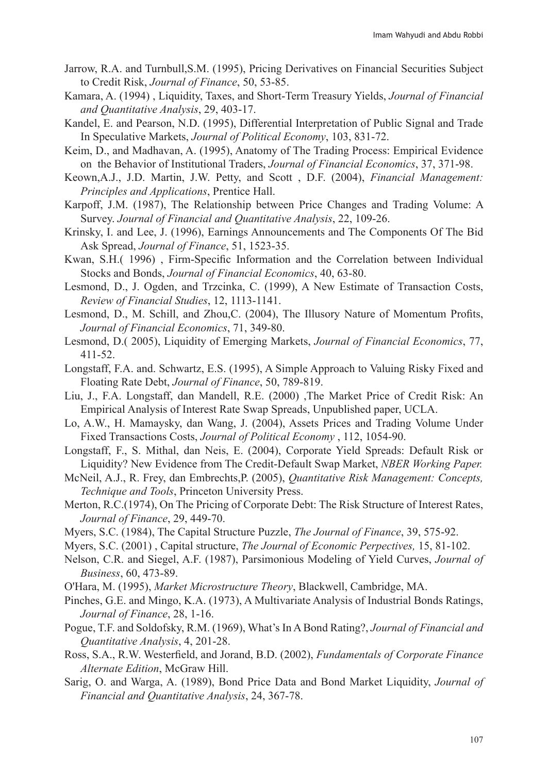- Jarrow, R.A. and Turnbull,S.M. (1995), Pricing Derivatives on Financial Securities Subject to Credit Risk, *Journal of Finance*, 50, 53-85.
- Kamara, A. (1994) , Liquidity, Taxes, and Short-Term Treasury Yields, *Journal of Financial and Quantitative Analysis*, 29, 403-17.
- Kandel, E. and Pearson, N.D. (1995), Differential Interpretation of Public Signal and Trade In Speculative Markets, *Journal of Political Economy*, 103, 831-72.
- Keim, D., and Madhavan, A. (1995), Anatomy of The Trading Process: Empirical Evidence on the Behavior of Institutional Traders, *Journal of Financial Economics*, 37, 371-98.
- Keown,A.J., J.D. Martin, J.W. Petty, and Scott , D.F. (2004), *Financial Management: Principles and Applications*, Prentice Hall.
- Karpoff, J.M. (1987), The Relationship between Price Changes and Trading Volume: A Survey. *Journal of Financial and Quantitative Analysis*, 22, 109-26.
- Krinsky, I. and Lee, J. (1996), Earnings Announcements and The Components Of The Bid Ask Spread, *Journal of Finance*, 51, 1523-35.
- Kwan, S.H.( 1996) , Firm-Specific Information and the Correlation between Individual Stocks and Bonds, *Journal of Financial Economics*, 40, 63-80.
- Lesmond, D., J. Ogden, and Trzcinka, C. (1999), A New Estimate of Transaction Costs, *Review of Financial Studies*, 12, 1113-1141.
- Lesmond, D., M. Schill, and Zhou,C. (2004), The Illusory Nature of Momentum Profits, *Journal of Financial Economics*, 71, 349-80.
- Lesmond, D.( 2005), Liquidity of Emerging Markets, *Journal of Financial Economics*, 77, 411-52.
- Longstaff, F.A. and. Schwartz, E.S. (1995), A Simple Approach to Valuing Risky Fixed and Floating Rate Debt, *Journal of Finance*, 50, 789-819.
- Liu, J., F.A. Longstaff, dan Mandell, R.E. (2000) ,The Market Price of Credit Risk: An Empirical Analysis of Interest Rate Swap Spreads, Unpublished paper, UCLA.
- Lo, A.W., H. Mamaysky, dan Wang, J. (2004), Assets Prices and Trading Volume Under Fixed Transactions Costs, *Journal of Political Economy* , 112, 1054-90.
- Longstaff, F., S. Mithal, dan Neis, E. (2004), Corporate Yield Spreads: Default Risk or Liquidity? New Evidence from The Credit-Default Swap Market, *NBER Working Paper.*
- McNeil, A.J., R. Frey, dan Embrechts,P. (2005), *Quantitative Risk Management: Concepts, Technique and Tools*, Princeton University Press.
- Merton, R.C.(1974), On The Pricing of Corporate Debt: The Risk Structure of Interest Rates, *Journal of Finance*, 29, 449-70.
- Myers, S.C. (1984), The Capital Structure Puzzle, *The Journal of Finance*, 39, 575-92.
- Myers, S.C. (2001) , Capital structure, *The Journal of Economic Perpectives,* 15, 81-102.
- Nelson, C.R. and Siegel, A.F. (1987), Parsimonious Modeling of Yield Curves, *Journal of Business*, 60, 473-89.
- O'Hara, M. (1995), *Market Microstructure Theory*, Blackwell, Cambridge, MA.
- Pinches, G.E. and Mingo, K.A. (1973), A Multivariate Analysis of Industrial Bonds Ratings, *Journal of Finance*, 28, 1-16.
- Pogue, T.F. and Soldofsky, R.M. (1969), What's In A Bond Rating?, *Journal of Financial and Quantitative Analysis*, 4, 201-28.
- Ross, S.A., R.W. Westerfield, and Jorand, B.D. (2002), *Fundamentals of Corporate Finance Alternate Edition*, McGraw Hill.
- Sarig, O. and Warga, A. (1989), Bond Price Data and Bond Market Liquidity, *Journal of Financial and Quantitative Analysis*, 24, 367-78.